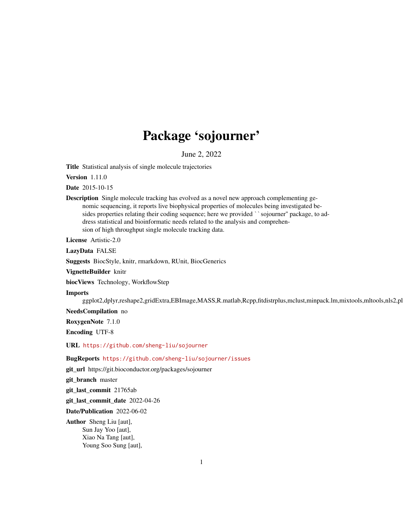# Package 'sojourner'

June 2, 2022

Title Statistical analysis of single molecule trajectories

Version 1.11.0

Date 2015-10-15

Description Single molecule tracking has evolved as a novel new approach complementing genomic sequencing, it reports live biophysical properties of molecules being investigated besides properties relating their coding sequence; here we provided ``sojourner'' package, to address statistical and bioinformatic needs related to the analysis and comprehension of high throughput single molecule tracking data.

License Artistic-2.0

LazyData FALSE

Suggests BiocStyle, knitr, rmarkdown, RUnit, BiocGenerics

VignetteBuilder knitr

biocViews Technology, WorkflowStep

Imports

ggplot2,dplyr,reshape2,gridExtra,EBImage,MASS,R.matlab,Rcpp,fitdistrplus,mclust,minpack.lm,mixtools,mltools,nls2,pl

NeedsCompilation no

RoxygenNote 7.1.0

Encoding UTF-8

URL <https://github.com/sheng-liu/sojourner>

BugReports <https://github.com/sheng-liu/sojourner/issues>

git\_url https://git.bioconductor.org/packages/sojourner

git\_branch master

git\_last\_commit 21765ab

git\_last\_commit\_date 2022-04-26

Date/Publication 2022-06-02

Author Sheng Liu [aut], Sun Jay Yoo [aut], Xiao Na Tang [aut], Young Soo Sung [aut],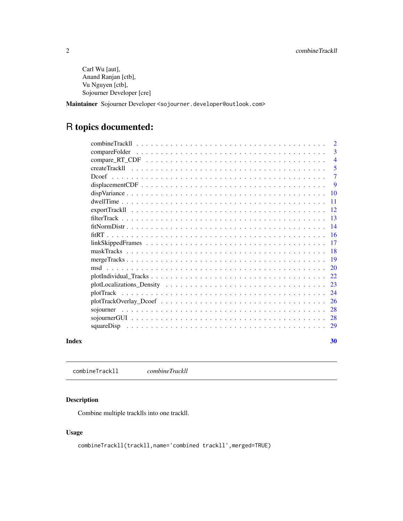<span id="page-1-0"></span>Carl Wu [aut], Anand Ranjan [ctb], Vu Nguyen [ctb], Sojourner Developer [cre]

Maintainer Sojourner Developer <sojourner.developer@outlook.com>

## R topics documented:

| Index |                                 | 30                  |
|-------|---------------------------------|---------------------|
|       |                                 |                     |
|       |                                 |                     |
|       |                                 | 28                  |
|       |                                 | 26                  |
|       |                                 | 24                  |
|       |                                 | 23                  |
|       |                                 | 22                  |
|       |                                 |                     |
|       |                                 |                     |
|       |                                 |                     |
|       |                                 |                     |
|       |                                 |                     |
|       |                                 |                     |
|       |                                 |                     |
|       | $exportTrack11                $ | $-12.$              |
|       |                                 | -11                 |
|       |                                 | $\overline{10}$     |
|       |                                 | -9                  |
|       |                                 | $\overline{7}$      |
|       |                                 | 5                   |
|       |                                 | 3<br>$\overline{4}$ |
|       |                                 | 2                   |
|       |                                 |                     |

combineTrackll *combineTrackll*

#### Description

Combine multiple tracklls into one trackll.

#### Usage

combineTrackll(trackll,name='combined trackll',merged=TRUE)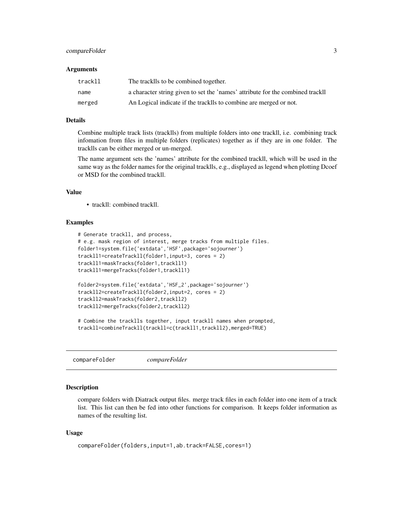#### <span id="page-2-0"></span>compareFolder 3

#### Arguments

| trackll | The tracklls to be combined together.                                          |
|---------|--------------------------------------------------------------------------------|
| name    | a character string given to set the 'names' attribute for the combined trackll |
| merged  | An Logical indicate if the tracklls to combine are merged or not.              |

#### Details

Combine multiple track lists (tracklls) from multiple folders into one trackll, i.e. combining track infomation from files in multiple folders (replicates) together as if they are in one folder. The tracklls can be either merged or un-merged.

The name argument sets the 'names' attribute for the combined trackll, which will be used in the same way as the folder names for the original tracklls, e.g., displayed as legend when plotting Dcoef or MSD for the combined trackll.

#### Value

• trackll: combined trackll.

#### Examples

```
# Generate trackll, and process,
# e.g. mask region of interest, merge tracks from multiple files.
folder1=system.file('extdata','HSF',package='sojourner')
trackll1=createTrackll(folder1,input=3, cores = 2)
trackll1=maskTracks(folder1,trackll1)
trackll1=mergeTracks(folder1,trackll1)
folder2=system.file('extdata','HSF_2',package='sojourner')
trackll2=createTrackll(folder2,input=2, cores = 2)
trackll2=maskTracks(folder2,trackll2)
trackll2=mergeTracks(folder2,trackll2)
# Combine the tracklls together, input trackll names when prompted,
trackll=combineTrackll(trackll=c(trackll1,trackll2),merged=TRUE)
```
compareFolder *compareFolder*

#### Description

compare folders with Diatrack output files. merge track files in each folder into one item of a track list. This list can then be fed into other functions for comparison. It keeps folder information as names of the resulting list.

#### Usage

```
compareFolder(folders,input=1,ab.track=FALSE,cores=1)
```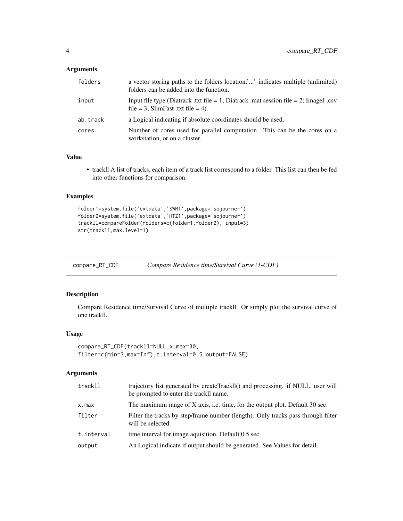#### <span id="page-3-0"></span>Arguments

| folders  | a vector storing paths to the folders location, indicates multiple (unlimited)<br>folders can be added into the function.  |
|----------|----------------------------------------------------------------------------------------------------------------------------|
| input    | Input file type (Diatrack .txt file = 1; Diatrack .mat session file = 2; ImageJ .csv<br>file = 3; SlimFast .txt file = 4). |
| ab.track | a Logical indicating if absolute coordinates should be used.                                                               |
| cores    | Number of cores used for parallel computation. This can be the cores on a<br>workstation, or on a cluster.                 |

#### Value

• trackll A list of tracks, each item of a track list correspond to a folder. This list can then be fed into other functions for comparison.

#### Examples

```
folder1=system.file('extdata','SWR1',package='sojourner')
folder2=system.file('extdata','HTZ1',package='sojourner')
trackll=compareFolder(folders=c(folder1,folder2), input=3)
str(trackll,max.level=1)
```
compare\_RT\_CDF *Compare Residence time/Survival Curve (1-CDF)*

#### Description

Compare Residence time/Survival Curve of multiple trackll. Or simply plot the survival curve of one trackll.

#### Usage

```
compare_RT_CDF(trackll=NULL,x.max=30,
filter=c(min=3,max=Inf),t.interval=0.5,output=FALSE)
```

| trackll    | trajectory list generated by createTrackIl() and processing. if NULL, user will<br>be prompted to enter the trackll name. |
|------------|---------------------------------------------------------------------------------------------------------------------------|
| x.max      | The maximum range of X axis, i.e. time, for the output plot. Default 30 sec.                                              |
| filter     | Filter the tracks by step/frame number (length). Only tracks pass through filter<br>will be selected.                     |
| t.interval | time interval for image aquisition. Default 0.5 sec.                                                                      |
| output     | An Logical indicate if output should be generated. See Values for detail.                                                 |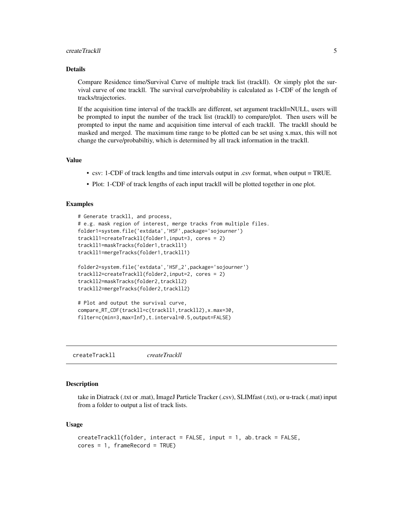#### <span id="page-4-0"></span>createTrackII 5

#### Details

Compare Residence time/Survival Curve of multiple track list (trackll). Or simply plot the survival curve of one trackll. The survival curve/probability is calculated as 1-CDF of the length of tracks/trajectories.

If the acquisition time interval of the tracklls are different, set argument trackll=NULL, users will be prompted to input the number of the track list (trackll) to compare/plot. Then users will be prompted to input the name and acquisition time interval of each trackll. The trackll should be masked and merged. The maximum time range to be plotted can be set using x.max, this will not change the curve/probabiltiy, which is determined by all track information in the trackll.

#### Value

- csv: 1-CDF of track lengths and time intervals output in .csv format, when output = TRUE.
- Plot: 1-CDF of track lengths of each input trackll will be plotted together in one plot.

#### Examples

```
# Generate trackll, and process,
# e.g. mask region of interest, merge tracks from multiple files.
folder1=system.file('extdata','HSF',package='sojourner')
trackll1=createTrackll(folder1,input=3, cores = 2)
trackll1=maskTracks(folder1,trackll1)
trackll1=mergeTracks(folder1,trackll1)
folder2=system.file('extdata','HSF_2',package='sojourner')
trackll2=createTrackll(folder2,input=2, cores = 2)
trackll2=maskTracks(folder2,trackll2)
trackll2=mergeTracks(folder2,trackll2)
# Plot and output the survival curve,
compare_RT_CDF(trackll=c(trackll1,trackll2),x.max=30,
filter=c(min=3,max=Inf),t.interval=0.5,output=FALSE)
```
createTrackll *createTrackll*

#### **Description**

take in Diatrack (.txt or .mat), ImageJ Particle Tracker (.csv), SLIMfast (.txt), or u-track (.mat) input from a folder to output a list of track lists.

#### Usage

```
createTrackll(folder, interact = FALSE, input = 1, ab.track = FALSE,
cores = 1, frameRecord = TRUE)
```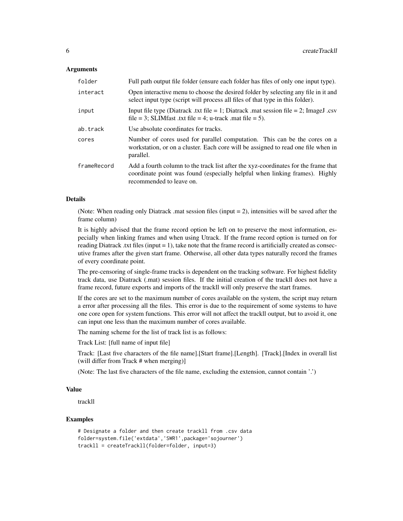#### **Arguments**

| folder      | Full path output file folder (ensure each folder has files of only one input type).                                                                                                           |
|-------------|-----------------------------------------------------------------------------------------------------------------------------------------------------------------------------------------------|
| interact    | Open interactive menu to choose the desired folder by selecting any file in it and<br>select input type (script will process all files of that type in this folder).                          |
| input       | Input file type (Diatrack .txt file = 1; Diatrack .mat session file = 2; ImageJ .csv<br>file = 3; SLIMfast .txt file = 4; u-track .mat file = 5).                                             |
| ab.track    | Use absolute coordinates for tracks.                                                                                                                                                          |
| cores       | Number of cores used for parallel computation. This can be the cores on a<br>workstation, or on a cluster. Each core will be assigned to read one file when in<br>parallel.                   |
| frameRecord | Add a fourth column to the track list after the xyz-coordinates for the frame that<br>coordinate point was found (especially helpful when linking frames). Highly<br>recommended to leave on. |

#### Details

(Note: When reading only Diatrack .mat session files (input = 2), intensities will be saved after the frame column)

It is highly advised that the frame record option be left on to preserve the most information, especially when linking frames and when using Utrack. If the frame record option is turned on for reading Diatrack .txt files (input = 1), take note that the frame record is artificially created as consecutive frames after the given start frame. Otherwise, all other data types naturally record the frames of every coordinate point.

The pre-censoring of single-frame tracks is dependent on the tracking software. For highest fidelity track data, use Diatrack (.mat) session files. If the initial creation of the trackll does not have a frame record, future exports and imports of the trackll will only preserve the start frames.

If the cores are set to the maximum number of cores available on the system, the script may return a error after processing all the files. This error is due to the requirement of some systems to have one core open for system functions. This error will not affect the trackll output, but to avoid it, one can input one less than the maximum number of cores available.

The naming scheme for the list of track list is as follows:

Track List: [full name of input file]

Track: [Last five characters of the file name].[Start frame].[Length]. [Track].[Index in overall list (will differ from Track # when merging)]

(Note: The last five characters of the file name, excluding the extension, cannot contain '.')

#### Value

trackll

```
# Designate a folder and then create trackll from .csv data
folder=system.file('extdata','SWR1',package='sojourner')
trackll = createTrackll(folder=folder, input=3)
```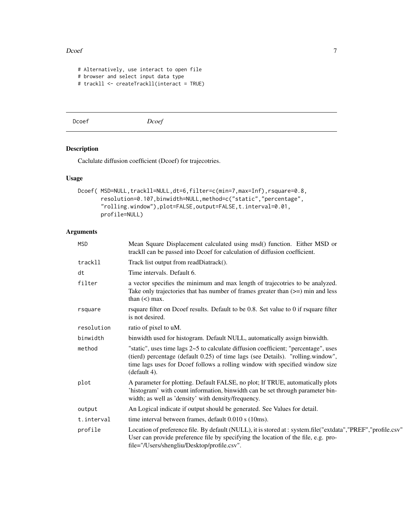#### <span id="page-6-0"></span>Dcoef 7

```
# Alternatively, use interact to open file
# browser and select input data type
# trackll <- createTrackll(interact = TRUE)
```
Dcoef *Dcoef*

### Description

Caclulate diffusion coefficient (Dcoef) for trajecotries.

#### Usage

```
Dcoef( MSD=NULL,trackll=NULL,dt=6,filter=c(min=7,max=Inf),rsquare=0.8,
       resolution=0.107,binwidth=NULL,method=c("static","percentage",
       "rolling.window"),plot=FALSE,output=FALSE,t.interval=0.01,
      profile=NULL)
```

| <b>MSD</b> | Mean Square Displacement calculated using msd() function. Either MSD or<br>trackll can be passed into Dcoef for calculation of diffusion coefficient.                                                                                                                  |
|------------|------------------------------------------------------------------------------------------------------------------------------------------------------------------------------------------------------------------------------------------------------------------------|
| trackll    | Track list output from readDiatrack().                                                                                                                                                                                                                                 |
| dt         | Time intervals. Default 6.                                                                                                                                                                                                                                             |
| filter     | a vector specifies the minimum and max length of trajecotries to be analyzed.<br>Take only trajectories that has number of frames greater than $(\geq)$ min and less<br>than $(<)$ max.                                                                                |
| rsquare    | rsquare filter on Dcoef results. Default to be 0.8. Set value to 0 if rsquare filter<br>is not desired.                                                                                                                                                                |
| resolution | ratio of pixel to uM.                                                                                                                                                                                                                                                  |
| binwidth   | binwidth used for histogram. Default NULL, automatically assign binwidth.                                                                                                                                                                                              |
| method     | "static", uses time lags 2~5 to calculate diffusion coefficient; "percentage", uses<br>(tierd) percentage (default 0.25) of time lags (see Details). "rolling.window",<br>time lags uses for Dcoef follows a rolling window with specified window size<br>(default 4). |
| plot       | A parameter for plotting. Default FALSE, no plot; If TRUE, automatically plots<br>'histogram' with count information, binwidth can be set through parameter bin-<br>width; as well as 'density' with density/frequency.                                                |
| output     | An Logical indicate if output should be generated. See Values for detail.                                                                                                                                                                                              |
| t.interval | time interval between frames, default 0.010 s (10ms).                                                                                                                                                                                                                  |
| profile    | Location of preference file. By default (NULL), it is stored at : system.file("extdata","PREF","profile.csv"<br>User can provide preference file by specifying the location of the file, e.g. pro-<br>file="/Users/shengliu/Desktop/profile.csv".                      |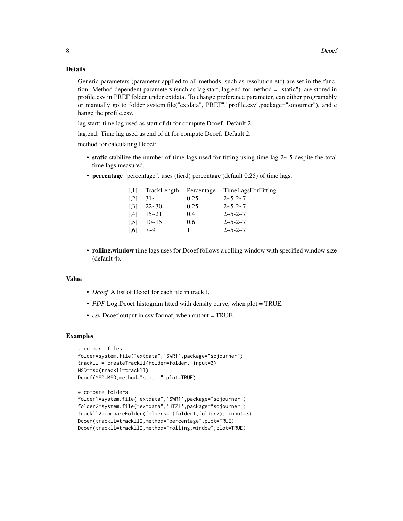#### Details

Generic parameters (parameter applied to all methods, such as resolution etc) are set in the function. Method dependent parameters (such as lag.start, lag.end for method = "static"), are stored in profile.csv in PREF folder under extdata. To change preference parameter, can either programably or manually go to folder system.file("extdata","PREF","profile.csv",package="sojourner"), and c hange the profile.csv.

lag.start: time lag used as start of dt for compute Dcoef. Default 2.

lag.end: Time lag used as end of dt for compute Dcoef. Default 2.

method for calculating Dcoef:

- static stabilize the number of time lags used for fitting using time lag  $2 \sim 5$  despite the total time lags measured.
- percentage "percentage", uses (tierd) percentage (default 0.25) of time lags.

| $\left\lceil .1 \right\rceil$ | TrackLength | Percentage | TimeLagsForFitting |
|-------------------------------|-------------|------------|--------------------|
| $\left[ 2 \right]$            | $31-$       | 0.25       | $2 - 5 - 2 - 7$    |
| $\left[ .3 \right]$           | $22 - 30$   | 0.25       | $2 - 5 - 2 - 7$    |
| $\left[ .4 \right]$           | $15 - 21$   | 0.4        | $2 - 5 - 2 - 7$    |
| $\left[ .5\right]$            | $10 - 15$   | 0.6        | $2 - 5 - 2 - 7$    |
| 1.61                          | $7 - 9$     |            | $2 - 5 - 2 - 7$    |

• rolling.window time lags uses for Dcoef follows a rolling window with specified window size (default 4).

#### Value

- *Dcoef* A list of Dcoef for each file in trackll.
- *PDF* Log.Dcoef histogram fitted with density curve, when plot = TRUE.
- *csv* Dcoef output in csv format, when output = TRUE.

```
# compare files
folder=system.file("extdata",'SWR1',package="sojourner")
trackll = createTrackll(folder=folder, input=3)
MSD=msd(trackll=trackll)
Dcoef(MSD=MSD,method="static",plot=TRUE)
```

```
# compare folders
folder1=system.file("extdata",'SWR1',package="sojourner")
folder2=system.file("extdata",'HTZ1',package="sojourner")
trackll2=compareFolder(folders=c(folder1,folder2), input=3)
Dcoef(trackll=trackll2,method="percentage",plot=TRUE)
Dcoef(trackll=trackll2,method="rolling.window",plot=TRUE)
```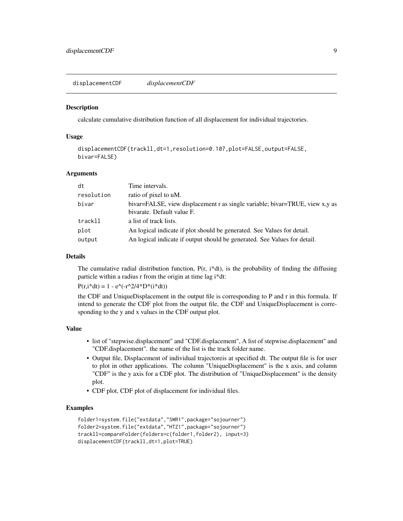<span id="page-8-0"></span>displacementCDF *displacementCDF*

#### **Description**

calculate cumulative distribution function of all displacement for individual trajectories.

#### Usage

```
displacementCDF(trackll,dt=1,resolution=0.107,plot=FALSE,output=FALSE,
bivar=FALSE)
```
#### Arguments

| dt         | Time intervals.                                                                                            |
|------------|------------------------------------------------------------------------------------------------------------|
| resolution | ratio of pixel to uM.                                                                                      |
| bivar      | bivar=FALSE, view displacement r as single variable; bivar=TRUE, view x,y as<br>bivarate. Default value F. |
| trackll    | a list of track lists.                                                                                     |
| plot       | An logical indicate if plot should be generated. See Values for detail.                                    |
| output     | An logical indicate if output should be generated. See Values for detail.                                  |

#### Details

The cumulative radial distribution function,  $P(r, i^*dt)$ , is the probability of finding the diffusing particle within a radius r from the origin at time lag i\*dt:

 $P(r,i*dt) = 1 - e^{(-r^2/4)t}D^*(i*dt)$ 

the CDF and UniqueDisplacement in the output file is corresponding to P and r in this formula. If intend to generate the CDF plot from the output file, the CDF and UniqueDisplacement is corresponding to the y and x values in the CDF output plot.

#### Value

- list of "stepwise.displacement" and "CDF.displacement", A list of stepwise.displacement" and "CDF.displacement". the name of the list is the track folder name.
- Output file, Displacement of individual trajectoreis at specified dt. The output file is for user to plot in other applications. The column "UniqueDisplacement" is the x axis, and column "CDF" is the y axis for a CDF plot. The distribution of "UniqueDisplacement" is the density plot.
- CDF plot, CDF plot of displacement for individual files.

```
folder1=system.file("extdata","SWR1",package="sojourner")
folder2=system.file("extdata","HTZ1",package="sojourner")
trackll=compareFolder(folders=c(folder1,folder2), input=3)
displacementCDF(trackll,dt=1,plot=TRUE)
```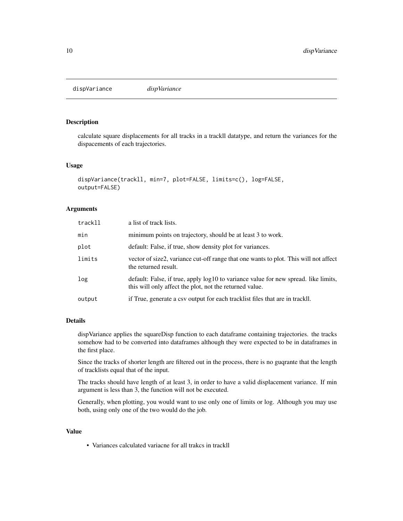<span id="page-9-0"></span>dispVariance *dispVariance*

#### Description

calculate square displacements for all tracks in a trackll datatype, and return the variances for the dispacements of each trajectories.

#### Usage

```
dispVariance(trackll, min=7, plot=FALSE, limits=c(), log=FALSE,
output=FALSE)
```
#### Arguments

| trackll | a list of track lists.                                                                                                                           |
|---------|--------------------------------------------------------------------------------------------------------------------------------------------------|
| min     | minimum points on trajectory, should be at least 3 to work.                                                                                      |
| plot    | default: False, if true, show density plot for variances.                                                                                        |
| limits  | vector of size2, variance cut-off range that one wants to plot. This will not affect<br>the returned result.                                     |
| log     | default: False, if true, apply $log10$ to variance value for new spread. like limits,<br>this will only affect the plot, not the returned value. |
| output  | if True, generate a csv output for each tracklist files that are in trackll.                                                                     |

#### Details

dispVariance applies the squareDisp function to each dataframe containing trajectories. the tracks somehow had to be converted into dataframes although they were expected to be in dataframes in the first place.

Since the tracks of shorter length are filtered out in the process, there is no guqrante that the length of tracklists equal that of the input.

The tracks should have length of at least 3, in order to have a valid displacement variance. If min argument is less than 3, the function will not be executed.

Generally, when plotting, you would want to use only one of limits or log. Although you may use both, using only one of the two would do the job.

#### Value

• Variances calculated variacne for all trakcs in trackll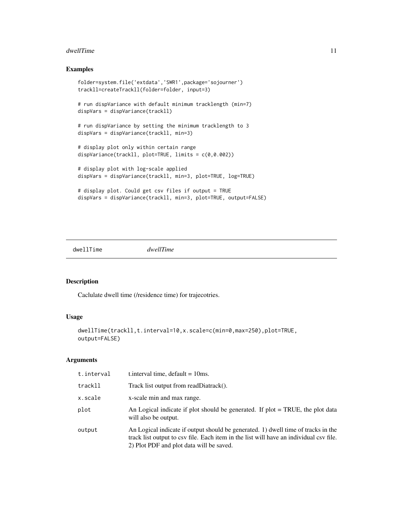#### <span id="page-10-0"></span>dwellTime 11

#### Examples

```
folder=system.file('extdata','SWR1',package='sojourner')
trackll=createTrackll(folder=folder, input=3)
# run dispVariance with default minimum tracklength (min=7)
dispVars = dispVariance(trackll)
# run dispVariance by setting the minimum tracklength to 3
dispVars = dispVariance(trackll, min=3)
# display plot only within certain range
dispVariance(trackll, plot=TRUE, limits = c(0,0.002))
# display plot with log-scale applied
dispVars = dispVariance(trackll, min=3, plot=TRUE, log=TRUE)
# display plot. Could get csv files if output = TRUE
dispVars = dispVariance(trackll, min=3, plot=TRUE, output=FALSE)
```
dwellTime *dwellTime*

#### Description

Caclulate dwell time (/residence time) for trajecotries.

#### Usage

```
dwellTime(trackll,t.interval=10,x.scale=c(min=0,max=250),plot=TRUE,
output=FALSE)
```

| t.interval | t. interval time, $default = 10ms$ .                                                                                                                                                                                    |
|------------|-------------------------------------------------------------------------------------------------------------------------------------------------------------------------------------------------------------------------|
| trackll    | Track list output from readDiatrack().                                                                                                                                                                                  |
| x.scale    | x-scale min and max range.                                                                                                                                                                                              |
| plot       | An Logical indicate if plot should be generated. If $plot = TRUE$ , the plot data<br>will also be output.                                                                                                               |
| output     | An Logical indicate if output should be generated. 1) dwell time of tracks in the<br>track list output to csy file. Each item in the list will have an individual csy file.<br>2) Plot PDF and plot data will be saved. |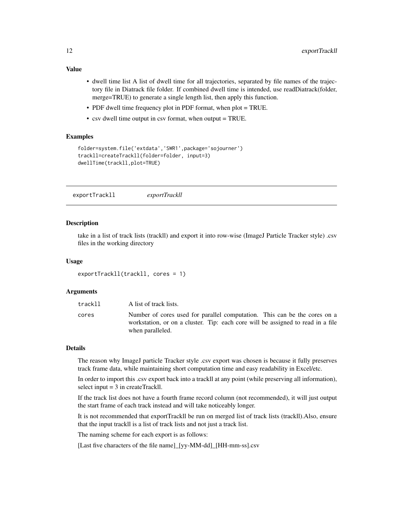- <span id="page-11-0"></span>Value
	- dwell time list A list of dwell time for all trajectories, separated by file names of the trajectory file in Diatrack file folder. If combined dwell time is intended, use readDiatrack(folder, merge=TRUE) to generate a single length list, then apply this function.
	- PDF dwell time frequency plot in PDF format, when plot = TRUE.
	- csv dwell time output in csv format, when output = TRUE.

#### Examples

```
folder=system.file('extdata','SWR1',package='sojourner')
trackll=createTrackll(folder=folder, input=3)
dwellTime(trackll,plot=TRUE)
```
exportTrackll *exportTrackll*

#### Description

take in a list of track lists (trackll) and export it into row-wise (ImageJ Particle Tracker style) .csv files in the working directory

#### Usage

```
exportTrackll(trackll, cores = 1)
```
#### **Arguments**

| trackll | A list of track lists.                                                                                                                                                           |
|---------|----------------------------------------------------------------------------------------------------------------------------------------------------------------------------------|
| cores   | Number of cores used for parallel computation. This can be the cores on a<br>workstation, or on a cluster. Tip: each core will be assigned to read in a file<br>when paralleled. |

#### Details

The reason why ImageJ particle Tracker style .csv export was chosen is because it fully preserves track frame data, while maintaining short computation time and easy readability in Excel/etc.

In order to import this .csv export back into a trackll at any point (while preserving all information), select input  $= 3$  in createTrackll.

If the track list does not have a fourth frame record column (not recommended), it will just output the start frame of each track instead and will take noticeably longer.

It is not recommended that exportTrackll be run on merged list of track lists (trackll).Also, ensure that the input trackll is a list of track lists and not just a track list.

The naming scheme for each export is as follows:

[Last five characters of the file name]\_[yy-MM-dd]\_[HH-mm-ss].csv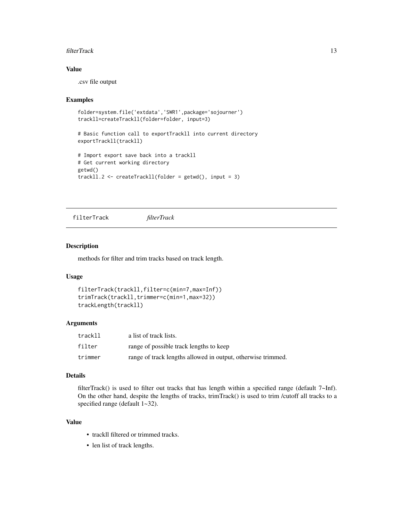#### <span id="page-12-0"></span>filterTrack 13

#### Value

.csv file output

#### Examples

```
folder=system.file('extdata','SWR1',package='sojourner')
trackll=createTrackll(folder=folder, input=3)
```

```
# Basic function call to exportTrackll into current directory
exportTrackll(trackll)
```

```
# Import export save back into a trackll
# Get current working directory
getwd()
trackll.2 <- createTrackll(folder = getwd(), input = 3)
```
filterTrack *filterTrack*

#### Description

methods for filter and trim tracks based on track length.

#### Usage

```
filterTrack(trackll,filter=c(min=7,max=Inf))
trimTrack(trackll,trimmer=c(min=1,max=32))
trackLength(trackll)
```
#### Arguments

| trackll | a list of track lists.                                       |
|---------|--------------------------------------------------------------|
| filter  | range of possible track lengths to keep                      |
| trimmer | range of track lengths allowed in output, otherwise trimmed. |

#### Details

filterTrack() is used to filter out tracks that has length within a specified range (default  $7\neg$ Inf). On the other hand, despite the lengths of tracks, trimTrack() is used to trim /cutoff all tracks to a specified range (default  $1-32$ ).

#### Value

- trackll filtered or trimmed tracks.
- len list of track lengths.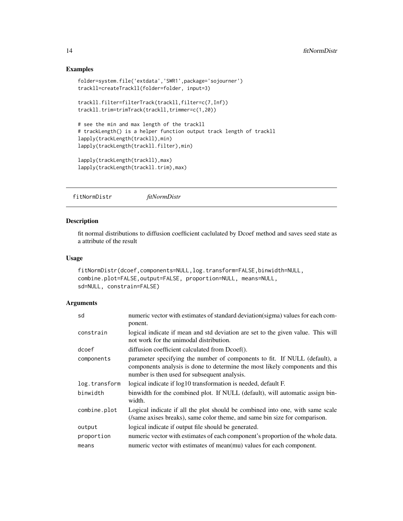#### Examples

```
folder=system.file('extdata','SWR1',package='sojourner')
trackll=createTrackll(folder=folder, input=3)
trackll.filter=filterTrack(trackll,filter=c(7,Inf))
trackll.trim=trimTrack(trackll,trimmer=c(1,20))
# see the min and max length of the trackll
# trackLength() is a helper function output track length of trackll
lapply(trackLength(trackll),min)
lapply(trackLength(trackll.filter),min)
lapply(trackLength(trackll),max)
lapply(trackLength(trackll.trim),max)
```
fitNormDistr *fitNormDistr*

#### Description

fit normal distributions to diffusion coefficient caclulated by Dcoef method and saves seed state as a attribute of the result

#### Usage

```
fitNormDistr(dcoef,components=NULL,log.transform=FALSE,binwidth=NULL,
combine.plot=FALSE,output=FALSE, proportion=NULL, means=NULL,
sd=NULL, constrain=FALSE)
```

| sd            | numeric vector with estimates of standard deviation(sigma) values for each com-<br>ponent.                                                                                                                 |
|---------------|------------------------------------------------------------------------------------------------------------------------------------------------------------------------------------------------------------|
| constrain     | logical indicate if mean and std deviation are set to the given value. This will<br>not work for the unimodal distribution.                                                                                |
| dcoef         | diffusion coefficient calculated from Dcoef().                                                                                                                                                             |
| components    | parameter specifying the number of components to fit. If NULL (default), a<br>components analysis is done to determine the most likely components and this<br>number is then used for subsequent analysis. |
| log.transform | logical indicate if log10 transformation is needed, default F.                                                                                                                                             |
| binwidth      | binwidth for the combined plot. If NULL (default), will automatic assign bin-<br>width.                                                                                                                    |
| combine.plot  | Logical indicate if all the plot should be combined into one, with same scale<br>(/same axises breaks), same color theme, and same bin size for comparison.                                                |
| output        | logical indicate if output file should be generated.                                                                                                                                                       |
| proportion    | numeric vector with estimates of each component's proportion of the whole data.                                                                                                                            |
| means         | numeric vector with estimates of mean(mu) values for each component.                                                                                                                                       |

<span id="page-13-0"></span>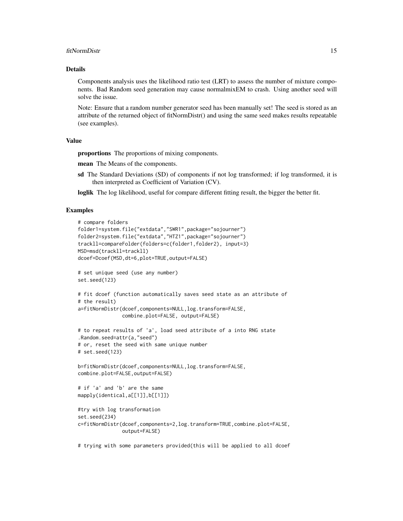#### fitNormDistr 15

#### Details

Components analysis uses the likelihood ratio test (LRT) to assess the number of mixture components. Bad Random seed generation may cause normalmixEM to crash. Using another seed will solve the issue.

Note: Ensure that a random number generator seed has been manually set! The seed is stored as an attribute of the returned object of fitNormDistr() and using the same seed makes results repeatable (see examples).

#### Value

proportions The proportions of mixing components.

mean The Means of the components.

sd The Standard Deviations (SD) of components if not log transformed; if log transformed, it is then interpreted as Coefficient of Variation (CV).

loglik The log likelihood, useful for compare different fitting result, the bigger the better fit.

```
# compare folders
folder1=system.file("extdata","SWR1",package="sojourner")
folder2=system.file("extdata","HTZ1",package="sojourner")
trackll=compareFolder(folders=c(folder1,folder2), input=3)
MSD=msd(trackll=trackll)
dcoef=Dcoef(MSD,dt=6,plot=TRUE,output=FALSE)
# set unique seed (use any number)
set.seed(123)
# fit dcoef (function automatically saves seed state as an attribute of
# the result)
a=fitNormDistr(dcoef,components=NULL,log.transform=FALSE,
               combine.plot=FALSE, output=FALSE)
# to repeat results of 'a', load seed attribute of a into RNG state
.Random.seed=attr(a,"seed")
# or, reset the seed with same unique number
# set.seed(123)
b=fitNormDistr(dcoef,components=NULL,log.transform=FALSE,
combine.plot=FALSE,output=FALSE)
# if 'a' and 'b' are the same
mapply(identical,a[[1]],b[[1]])
#try with log transformation
set.seed(234)
c=fitNormDistr(dcoef,components=2,log.transform=TRUE,combine.plot=FALSE,
               output=FALSE)
# trying with some parameters provided(this will be applied to all dcoef
```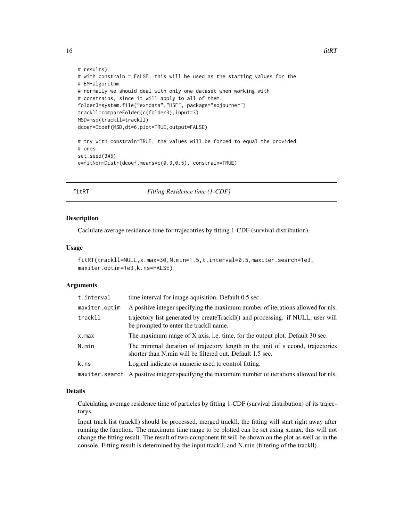```
# results).
# with constrain = FALSE, this will be used as the starting values for the
# EM-algorithm
# normally we should deal with only one dataset when working with
# constrains, since it will apply to all of them.
folder3=system.file("extdata","HSF", package="sojourner")
trackll=compareFolder(c(folder3),input=3)
MSD=msd(trackll=trackll)
dcoef=Dcoef(MSD,dt=6,plot=TRUE,output=FALSE)
# try with constrain=TRUE, the values will be forced to equal the provided
# ones.
set.seed(345)
e=fitNormDistr(dcoef,means=c(0.3,0.5), constrain=TRUE)
```
fitRT *Fitting Residence time (1-CDF)*

#### **Description**

Caclulate average residence time for trajecotries by fitting 1-CDF (survival distribution).

#### Usage

```
fitRT(trackll=NULL,x.max=30,N.min=1.5,t.interval=0.5,maxiter.search=1e3,
maxiter.optim=1e3,k.ns=FALSE)
```
#### **Arguments**

| t.interval    | time interval for image aquisition. Default 0.5 sec.                                                                                        |
|---------------|---------------------------------------------------------------------------------------------------------------------------------------------|
| maxiter.optim | A positive integer specifying the maximum number of iterations allowed for nls.                                                             |
| trackll       | trajectory list generated by createTrackIl() and processing. if NULL, user will<br>be prompted to enter the trackll name.                   |
| x.max         | The maximum range of X axis, i.e. time, for the output plot. Default 30 sec.                                                                |
| N.min         | The minimal duration of trajectory length in the unit of s econd, trajectories<br>shorter than N.min will be filtered out. Default 1.5 sec. |
| k.ns          | Logical indicate or numeric used to control fitting.                                                                                        |
|               | maxiter. search A positive integer specifying the maximum number of iterations allowed for nls.                                             |

#### Details

Calculating average residence time of particles by fitting 1-CDF (survival distribution) of its trajectorys.

Input track list (trackll) should be processed, merged trackll, the fitting will start right away after running the function. The maximum time range to be plotted can be set using x.max, this will not change the fitting result. The result of two-component fit will be shown on the plot as well as in the console. Fitting result is determined by the input trackll, and N.min (filtering of the trackll).

<span id="page-15-0"></span>16 fitRT **fitRT**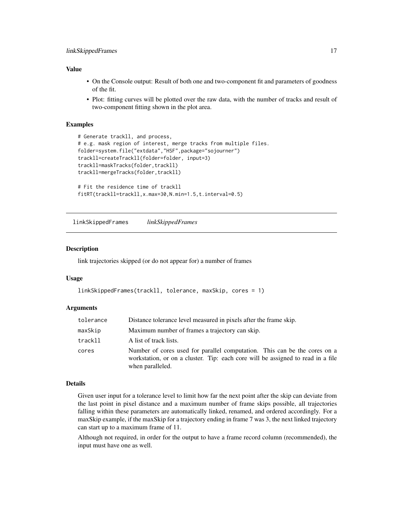#### <span id="page-16-0"></span>Value

- On the Console output: Result of both one and two-component fit and parameters of goodness of the fit.
- Plot: fitting curves will be plotted over the raw data, with the number of tracks and result of two-component fitting shown in the plot area.

#### Examples

```
# Generate trackll, and process,
# e.g. mask region of interest, merge tracks from multiple files.
folder=system.file("extdata","HSF",package="sojourner")
trackll=createTrackll(folder=folder, input=3)
trackll=maskTracks(folder,trackll)
trackll=mergeTracks(folder,trackll)
# Fit the residence time of trackll
fitRT(trackll=trackll,x.max=30,N.min=1.5,t.interval=0.5)
```
linkSkippedFrames *linkSkippedFrames*

#### Description

link trajectories skipped (or do not appear for) a number of frames

#### Usage

```
linkSkippedFrames(trackll, tolerance, maxSkip, cores = 1)
```
#### Arguments

| tolerance | Distance tolerance level measured in pixels after the frame skip.                                                                                                                |
|-----------|----------------------------------------------------------------------------------------------------------------------------------------------------------------------------------|
| maxSkip   | Maximum number of frames a trajectory can skip.                                                                                                                                  |
| trackll   | A list of track lists.                                                                                                                                                           |
| cores     | Number of cores used for parallel computation. This can be the cores on a<br>workstation, or on a cluster. Tip: each core will be assigned to read in a file<br>when paralleled. |

#### Details

Given user input for a tolerance level to limit how far the next point after the skip can deviate from the last point in pixel distance and a maximum number of frame skips possible, all trajectories falling within these parameters are automatically linked, renamed, and ordered accordingly. For a maxSkip example, if the maxSkip for a trajectory ending in frame 7 was 3, the next linked trajectory can start up to a maximum frame of 11.

Although not required, in order for the output to have a frame record column (recommended), the input must have one as well.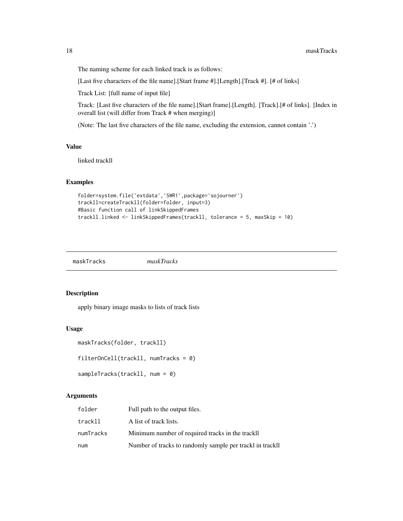The naming scheme for each linked track is as follows:

[Last five characters of the file name].[Start frame #].[Length].[Track #]. [# of links]

Track List: [full name of input file]

Track: [Last five characters of the file name].[Start frame].[Length]. [Track].[# of links]. [Index in overall list (will differ from Track # when merging)]

(Note: The last five characters of the file name, excluding the extension, cannot contain '.')

#### Value

linked trackll

#### Examples

```
folder=system.file('extdata','SWR1',package='sojourner')
trackll=createTrackll(folder=folder, input=3)
#Basic function call of linkSkippedFrames
trackll.linked <- linkSkippedFrames(trackll, tolerance = 5, maxSkip = 10)
```
maskTracks *maskTracks*

#### Description

apply binary image masks to lists of track lists

#### Usage

```
maskTracks(folder, trackll)
```

```
filterOnCell(trackll, numTracks = 0)
```

```
sampleTracks(trackll, num = 0)
```

| folder    | Full path to the output files.                            |
|-----------|-----------------------------------------------------------|
| trackll   | A list of track lists.                                    |
| numTracks | Minimum number of required tracks in the trackll          |
| num       | Number of tracks to randomly sample per trackl in trackll |

<span id="page-17-0"></span>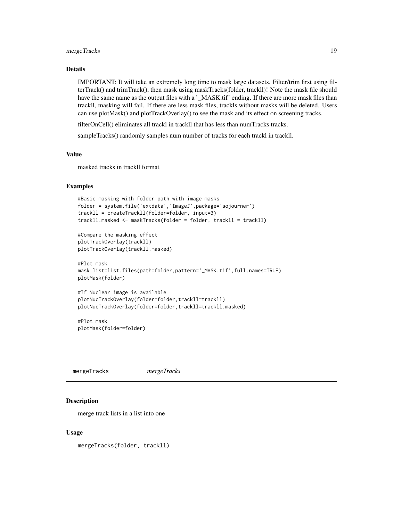#### <span id="page-18-0"></span>mergeTracks 19

#### Details

IMPORTANT: It will take an extremely long time to mask large datasets. Filter/trim first using filterTrack() and trimTrack(), then mask using maskTracks(folder, trackll)! Note the mask file should have the same name as the output files with a '\_MASK.tif' ending. If there are more mask files than trackll, masking will fail. If there are less mask files, trackls without masks will be deleted. Users can use plotMask() and plotTrackOverlay() to see the mask and its effect on screening tracks.

filterOnCell() eliminates all trackl in trackll that has less than numTracks tracks.

sampleTracks() randomly samples num number of tracks for each trackl in trackll.

#### Value

masked tracks in trackll format

#### Examples

```
#Basic masking with folder path with image masks
folder = system.file('extdata','ImageJ',package='sojourner')
trackll = createTrackll(folder=folder, input=3)
trackll.masked <- maskTracks(folder = folder, trackll = trackll)
```

```
#Compare the masking effect
plotTrackOverlay(trackll)
plotTrackOverlay(trackll.masked)
```

```
#Plot mask
mask.list=list.files(path=folder,pattern='_MASK.tif',full.names=TRUE)
plotMask(folder)
```

```
#If Nuclear image is available
plotNucTrackOverlay(folder=folder,trackll=trackll)
plotNucTrackOverlay(folder=folder,trackll=trackll.masked)
```
#Plot mask plotMask(folder=folder)

mergeTracks *mergeTracks*

#### Description

merge track lists in a list into one

#### Usage

mergeTracks(folder, trackll)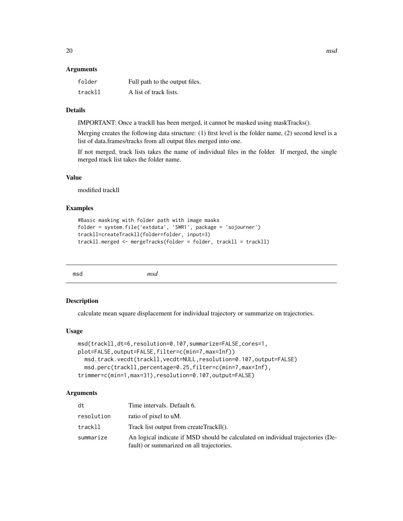#### <span id="page-19-0"></span>**Arguments**

| folder  | Full path to the output files. |
|---------|--------------------------------|
| trackll | A list of track lists.         |

#### Details

IMPORTANT: Once a trackll has been merged, it cannot be masked using maskTracks().

Merging creates the following data structure: (1) first level is the folder name, (2) second level is a list of data.frames/tracks from all output files merged into one.

If not merged, track lists takes the name of individual files in the folder. If merged, the single merged track list takes the folder name.

#### Value

modified trackll

#### Examples

```
#Basic masking with folder path with image masks
folder = system.file('extdata', 'SWR1', package = 'sojourner')
trackll=createTrackll(folder=folder, input=3)
trackll.merged <- mergeTracks(folder = folder, trackll = trackll)
```
msd *msd*

#### Description

calculate mean square displacement for individual trajectory or summarize on trajectories.

#### Usage

```
msd(trackll,dt=6,resolution=0.107,summarize=FALSE,cores=1,
plot=FALSE,output=FALSE,filter=c(min=7,max=Inf))
 msd.track.vecdt(trackll,vecdt=NULL,resolution=0.107,output=FALSE)
 msd.perc(trackll,percentage=0.25,filter=c(min=7,max=Inf),
trimmer=c(min=1,max=31),resolution=0.107,output=FALSE)
```

| dt         | Time intervals. Default 6.                                                                                                   |
|------------|------------------------------------------------------------------------------------------------------------------------------|
| resolution | ratio of pixel to uM.                                                                                                        |
| trackll    | Track list output from createTrackll().                                                                                      |
| summarize  | An logical indicate if MSD should be calculated on individual trajectories (De-<br>fault) or summarized on all trajectories. |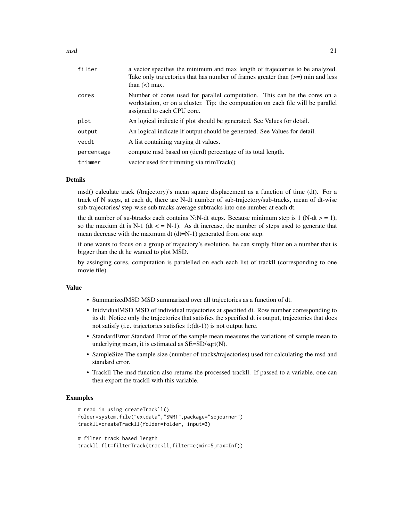#### $\text{msd}$  21

| filter     | a vector specifies the minimum and max length of trajecotries to be analyzed.<br>Take only trajectories that has number of frames greater than $(>=)$ min and less<br>than $(<)$ max.       |
|------------|---------------------------------------------------------------------------------------------------------------------------------------------------------------------------------------------|
| cores      | Number of cores used for parallel computation. This can be the cores on a<br>workstation, or on a cluster. Tip: the computation on each file will be parallel<br>assigned to each CPU core. |
| plot       | An logical indicate if plot should be generated. See Values for detail.                                                                                                                     |
| output     | An logical indicate if output should be generated. See Values for detail.                                                                                                                   |
| vecdt      | A list containing varying dt values.                                                                                                                                                        |
| percentage | compute msd based on (tierd) percentage of its total length.                                                                                                                                |
| trimmer    | vector used for trimming via trimTrack()                                                                                                                                                    |
|            |                                                                                                                                                                                             |

#### **Details**

msd() calculate track (/trajectory)'s mean square displacement as a function of time (dt). For a track of N steps, at each dt, there are N-dt number of sub-trajectory/sub-tracks, mean of dt-wise sub-trajectories/ step-wise sub tracks average subtracks into one number at each dt.

the dt number of su-btracks each contains N:N-dt steps. Because minimum step is 1 (N-dt  $>$  = 1), so the maxium dt is N-1 (dt  $\lt$  = N-1). As dt increase, the number of steps used to generate that mean decrease with the maxmum dt (dt=N-1) generated from one step.

if one wants to focus on a group of trajectory's evolution, he can simply filter on a number that is bigger than the dt he wanted to plot MSD.

by assinging cores, computation is paralelled on each each list of trackll (corresponding to one movie file).

#### Value

- SummarizedMSD MSD summarized over all trajectories as a function of dt.
- InidvidualMSD MSD of individual trajectories at specified dt. Row number corresponding to its dt. Notice only the trajectories that satisfies the specified dt is output, trajectories that does not satisfy (i.e. trajectories satisfies 1:(dt-1)) is not output here.
- StandardError Standard Error of the sample mean measures the variations of sample mean to underlying mean, it is estimated as SE=SD/sqrt(N).
- SampleSize The sample size (number of tracks/trajectories) used for calculating the msd and standard error.
- Trackll The msd function also returns the processed trackll. If passed to a variable, one can then export the trackll with this variable.

```
# read in using createTrackll()
folder=system.file("extdata","SWR1",package="sojourner")
trackll=createTrackll(folder=folder, input=3)
# filter track based length
```

```
trackll.flt=filterTrack(trackll,filter=c(min=5,max=Inf))
```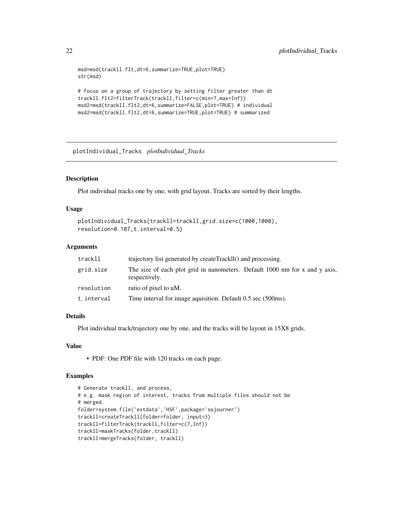```
msd=msd(trackll.flt,dt=6,summarize=TRUE,plot=TRUE)
str(msd)
# focus on a group of trajectory by setting filter greater than dt
trackll.flt2=filterTrack(trackll,filter=c(min=7,max=Inf))
msd2=msd(trackll.flt2,dt=6,summarize=FALSE,plot=TRUE) # individual
msd2=msd(trackll.flt2,dt=6,summarize=TRUE,plot=TRUE) # summarized
```
plotIndividual\_Tracks *plotIndividual\_Tracks*

#### Description

Plot individual tracks one by one, with grid layout. Tracks are sorted by their lengths.

#### Usage

```
plotIndividual_Tracks(trackll=trackll,grid.size=c(1000,1000),
resolution=0.107,t.interval=0.5)
```
#### Arguments

| trackll    | trajectory list generated by createTrackIl() and processing.                                 |  |
|------------|----------------------------------------------------------------------------------------------|--|
| grid.size  | The size of each plot grid in nanometers. Default 1000 nm for x and y axis,<br>respectively. |  |
| resolution | ratio of pixel to uM.                                                                        |  |
| t.interval | Time interval for image aquisition. Default 0.5 sec (500ms).                                 |  |

#### Details

Plot individual track/trajectory one by one, and the tracks will be layout in 15X8 grids.

#### Value

• PDF: One PDF file with 120 tracks on each page.

```
# Generate trackll, and process,
# e.g. mask region of interest, tracks from multiple files should not be
# merged.
folder=system.file('extdata','HSF',package='sojourner')
trackll=createTrackll(folder=folder, input=3)
trackll=filterTrack(trackll,filter=c(7,Inf))
trackll=maskTracks(folder,trackll)
trackll=mergeTracks(folder, trackll)
```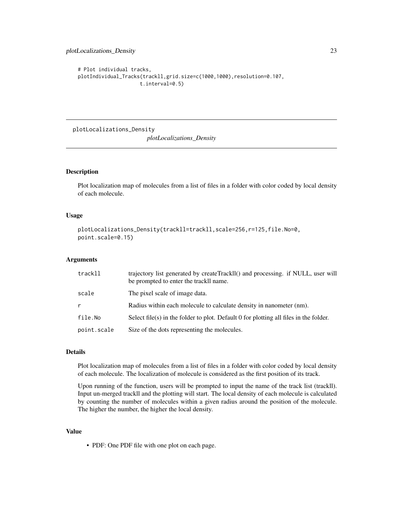```
# Plot individual tracks,
plotIndividual_Tracks(trackll,grid.size=c(1000,1000),resolution=0.107,
                     t.interval=0.5)
```
plotLocalizations\_Density *plotLocalizations\_Density*

## Description

Plot localization map of molecules from a list of files in a folder with color coded by local density of each molecule.

#### Usage

```
plotLocalizations_Density(trackll=trackll,scale=256,r=125,file.No=0,
point.scale=0.15)
```
#### Arguments

| trackll     | trajectory list generated by createTrackll() and processing. if NULL, user will<br>be prompted to enter the trackll name. |
|-------------|---------------------------------------------------------------------------------------------------------------------------|
| scale       | The pixel scale of image data.                                                                                            |
| r           | Radius within each molecule to calculate density in nanometer (nm).                                                       |
| file.No     | Select file(s) in the folder to plot. Default 0 for plotting all files in the folder.                                     |
| point.scale | Size of the dots representing the molecules.                                                                              |

### Details

Plot localization map of molecules from a list of files in a folder with color coded by local density of each molecule. The localization of molecule is considered as the first position of its track.

Upon running of the function, users will be prompted to input the name of the track list (trackll). Input un-merged trackll and the plotting will start. The local density of each molecule is calculated by counting the number of molecules within a given radius around the position of the molecule. The higher the number, the higher the local density.

#### Value

• PDF: One PDF file with one plot on each page.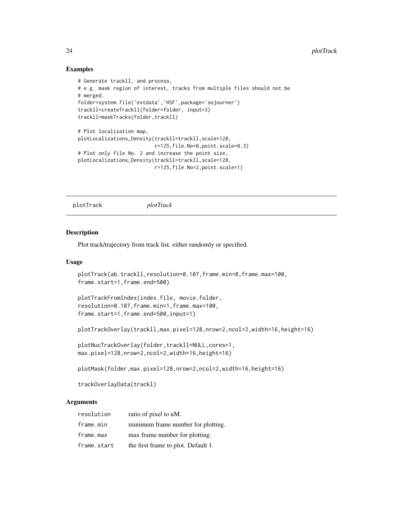#### Examples

```
# Generate trackll, and process,
# e.g. mask region of interest, tracks from multiple files should not be
# merged.
folder=system.file('extdata','HSF',package='sojourner')
trackll=createTrackll(folder=folder, input=3)
trackll=maskTracks(folder,trackll)
# Plot localization map,
plotLocalizations_Density(trackll=trackll,scale=128,
                          r=125,file.No=0,point.scale=0.3)
# Plot only file No. 2 and increase the point size,
plotLocalizations_Density(trackll=trackll,scale=128,
                          r=125,file.No=2,point.scale=1)
```
plotTrack *plotTrack*

#### **Description**

Plot track/trajectory from track list. either randomly or specified.

#### Usage

```
plotTrack(ab.trackll,resolution=0.107,frame.min=8,frame.max=100,
frame.start=1,frame.end=500)
```

```
plotTrackFromIndex(index.file, movie.folder,
resolution=0.107,frame.min=1,frame.max=100,
frame.start=1,frame.end=500,input=1)
```
plotTrackOverlay(trackll,max.pixel=128,nrow=2,ncol=2,width=16,height=16)

```
plotNucTrackOverlay(folder,trackll=NULL,cores=1,
max.pixel=128,nrow=2,ncol=2,width=16,height=16)
```
plotMask(folder,max.pixel=128,nrow=2,ncol=2,width=16,height=16)

```
trackOverlayData(trackl)
```

| resolution  | ratio of pixel to uM.               |
|-------------|-------------------------------------|
| frame.min   | minimum frame number for plotting.  |
| frame.max   | max frame number for plotting.      |
| frame.start | the first frame to plot. Default 1. |

<span id="page-23-0"></span>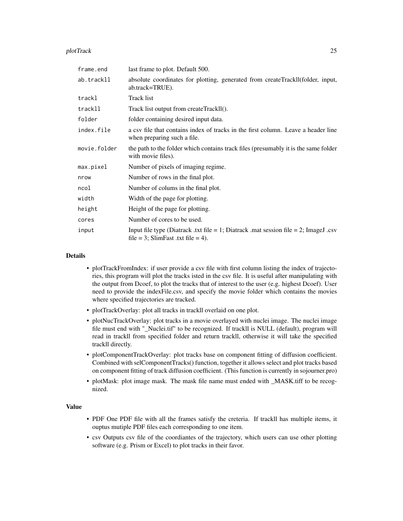#### plotTrack 25

| frame.end    | last frame to plot. Default 500.                                                                                           |
|--------------|----------------------------------------------------------------------------------------------------------------------------|
| ab.trackll   | absolute coordinates for plotting, generated from createTrackll(folder, input,<br>ab.track=TRUE).                          |
| trackl       | <b>Track list</b>                                                                                                          |
| trackll      | Track list output from createTrackll().                                                                                    |
| folder       | folder containing desired input data.                                                                                      |
| index.file   | a csy file that contains index of tracks in the first column. Leave a header line<br>when preparing such a file.           |
| movie.folder | the path to the folder which contains track files (presumably it is the same folder<br>with movie files).                  |
| max.pixel    | Number of pixels of imaging regime.                                                                                        |
| nrow         | Number of rows in the final plot.                                                                                          |
| ncol         | Number of colums in the final plot.                                                                                        |
| width        | Width of the page for plotting.                                                                                            |
| height       | Height of the page for plotting.                                                                                           |
| cores        | Number of cores to be used.                                                                                                |
| input        | Input file type (Diatrack .txt file = 1; Diatrack .mat session file = 2; ImageJ .csv<br>file = 3; SlimFast .txt file = 4). |

#### Details

- plotTrackFromIndex: if user provide a csv file with first column listing the index of trajectories, this program will plot the tracks isted in the csv file. It is useful after manipulating with the output from Dcoef, to plot the tracks that of interest to the user (e.g. highest Dcoef). User need to provide the indexFile.csv, and specify the movie folder which contains the movies where specified trajectories are tracked.
- plotTrackOverlay: plot all tracks in trackll overlaid on one plot.
- plotNucTrackOverlay: plot tracks in a movie overlayed with nuclei image. The nuclei image file must end with "\_Nuclei.tif" to be recognized. If trackll is NULL (default), program will read in trackll from specified folder and return trackll, otherwise it will take the specified trackll directly.
- plotComponentTrackOverlay: plot tracks base on component fitting of diffusion coefficient. Combined with selComponentTracks() function, together it allows select and plot tracks based on component fitting of track diffusion coefficient. (This function is currently in sojourner.pro)
- plotMask: plot image mask. The mask file name must ended with \_MASK.tiff to be recognized.

#### Value

- PDF One PDF file with all the frames satisfy the creteria. If trackll has multiple items, it ouptus mutiple PDF files each corresponding to one item.
- csv Outputs csv file of the coordiantes of the trajectory, which users can use other plotting software (e.g. Prism or Excel) to plot tracks in their favor.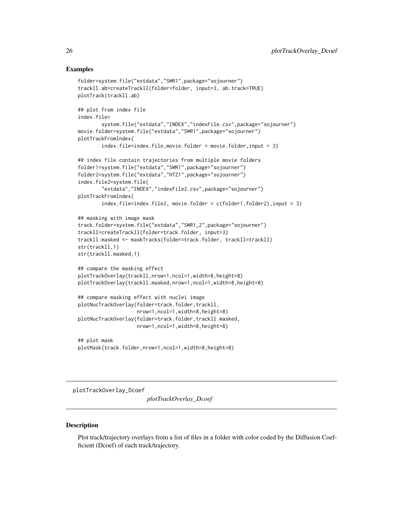#### <span id="page-25-0"></span>Examples

```
folder=system.file("extdata","SWR1",package="sojourner")
trackll.ab=createTrackll(folder=folder, input=3, ab.track=TRUE)
plotTrack(trackll.ab)
## plot from index file
index.file=
        system.file("extdata","INDEX","indexFile.csv",package="sojourner")
movie.folder=system.file("extdata","SWR1",package="sojourner")
plotTrackFromIndex(
       index.file=index.file,movie.folder = movie.folder,input = 3)
## index file contain trajectories from multiple movie folders
folder1=system.file("extdata","SWR1",package="sojourner")
folder2=system.file("extdata","HTZ1",package="sojourner")
index.file2=system.file(
        "extdata","INDEX","indexFile2.csv",package="sojourner")
plotTrackFromIndex(
        index.file=index.file2, movie.folder = c(folder1,folder2),input = 3)
## masking with image mask
track.folder=system.file("extdata","SWR1_2",package="sojourner")
trackll=createTrackll(folder=track.folder, input=3)
trackll.masked <- maskTracks(folder=track.folder, trackll=trackll)
str(trackll,1)
str(trackll.masked,1)
## compare the masking effect
plotTrackOverlay(trackll,nrow=1,ncol=1,width=8,height=8)
plotTrackOverlay(trackll.masked,nrow=1,ncol=1,width=8,height=8)
## compare masking effect with nuclei image
plotNucTrackOverlay(folder=track.folder,trackll,
                    nrow=1,ncol=1,width=8,height=8)
plotNucTrackOverlay(folder=track.folder,trackll.masked,
                    nrow=1,ncol=1,width=8,height=8)
## plot mask
plotMask(track.folder,nrow=1,ncol=1,width=8,height=8)
```
plotTrackOverlay\_Dcoef

*plotTrackOverlay\_Dcoef*

#### **Description**

Plot track/trajectory overlays from a list of files in a folder with color coded by the Diffusion Coefficient (Dcoef) of each track/trajectory.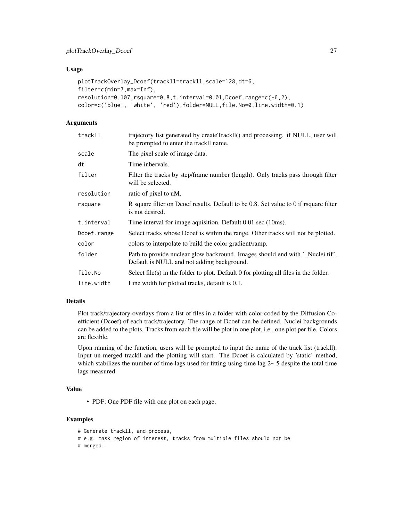#### Usage

```
plotTrackOverlay_Dcoef(trackll=trackll,scale=128,dt=6,
filter=c(min=7,max=Inf),
resolution=0.107,rsquare=0.8,t.interval=0.01,Dcoef.range=c(-6,2),
color=c('blue', 'white', 'red'),folder=NULL,file.No=0,line.width=0.1)
```
### Arguments

| trajectory list generated by createTrackll() and processing. if NULL, user will<br>be prompted to enter the trackll name.   |
|-----------------------------------------------------------------------------------------------------------------------------|
| The pixel scale of image data.                                                                                              |
| Time inbervals.                                                                                                             |
| Filter the tracks by step/frame number (length). Only tracks pass through filter<br>will be selected.                       |
| ratio of pixel to uM.                                                                                                       |
| R square filter on Dcoef results. Default to be 0.8. Set value to 0 if rsquare filter<br>is not desired.                    |
| Time interval for image aquisition. Default 0.01 sec (10ms).                                                                |
| Select tracks whose Dcoef is within the range. Other tracks will not be plotted.                                            |
| colors to interpolate to build the color gradient/ramp.                                                                     |
| Path to provide nuclear glow backround. Images should end with '_Nuclei.tif'.<br>Default is NULL and not adding background. |
| Select file(s) in the folder to plot. Default 0 for plotting all files in the folder.                                       |
| Line width for plotted tracks, default is 0.1.                                                                              |
|                                                                                                                             |

#### Details

Plot track/trajectory overlays from a list of files in a folder with color coded by the Diffusion Coefficient (Dcoef) of each track/trajectory. The range of Dcoef can be defined. Nuclei backgrounds can be added to the plots. Tracks from each file will be plot in one plot, i.e., one plot per file. Colors are flexible.

Upon running of the function, users will be prompted to input the name of the track list (trackll). Input un-merged trackll and the plotting will start. The Dcoef is calculated by 'static' method, which stabilizes the number of time lags used for fitting using time lag  $2 \sim 5$  despite the total time lags measured.

#### Value

• PDF: One PDF file with one plot on each page.

```
# Generate trackll, and process,
# e.g. mask region of interest, tracks from multiple files should not be
# merged.
```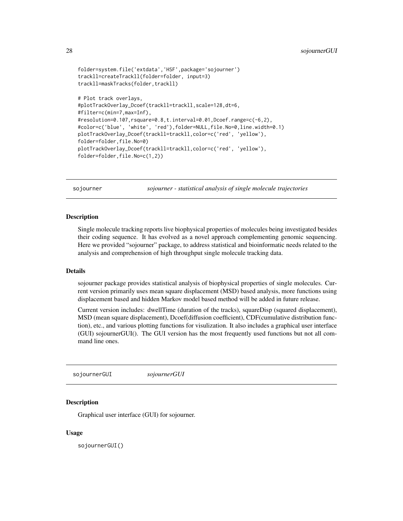```
folder=system.file('extdata','HSF',package='sojourner')
trackll=createTrackll(folder=folder, input=3)
trackll=maskTracks(folder,trackll)
# Plot track overlays,
#plotTrackOverlay_Dcoef(trackll=trackll,scale=128,dt=6,
#filter=c(min=7,max=Inf),
#resolution=0.107,rsquare=0.8,t.interval=0.01,Dcoef.range=c(-6,2),
#color=c('blue', 'white', 'red'),folder=NULL,file.No=0,line.width=0.1)
plotTrackOverlay_Dcoef(trackll=trackll,color=c('red', 'yellow'),
folder=folder,file.No=0)
plotTrackOverlay_Dcoef(trackll=trackll,color=c('red', 'yellow'),
folder=folder,file.No=c(1,2))
```
sojourner *sojourner - statistical analysis of single molecule trajectories*

#### Description

Single molecule tracking reports live biophysical properties of molecules being investigated besides their coding sequence. It has evolved as a novel approach complementing genomic sequencing. Here we provided "sojourner" package, to address statistical and bioinformatic needs related to the analysis and comprehension of high throughput single molecule tracking data.

#### Details

sojourner package provides statistical analysis of biophysical properties of single molecules. Current version primarily uses mean square displacement (MSD) based analysis, more functions using displacement based and hidden Markov model based method will be added in future release.

Current version includes: dwellTime (duration of the tracks), squareDisp (squared displacement), MSD (mean square displacement), Dcoef(diffusion coefficient), CDF(cumulative distribution function), etc., and various plotting functions for visulization. It also includes a graphical user interface (GUI) sojournerGUI(). The GUI version has the most frequently used functions but not all command line ones.

sojournerGUI *sojournerGUI*

#### **Description**

Graphical user interface (GUI) for sojourner.

#### Usage

sojournerGUI()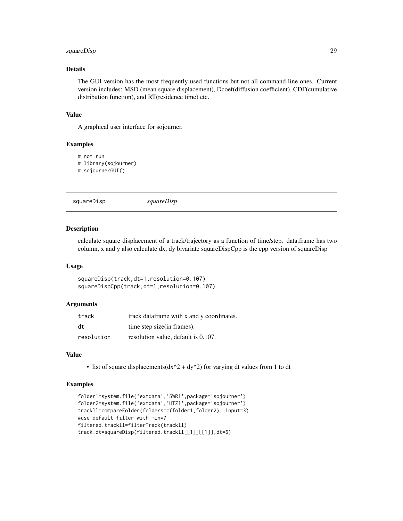#### <span id="page-28-0"></span>squareDisp 29

#### Details

The GUI version has the most frequently used functions but not all command line ones. Current version includes: MSD (mean square displacement), Dcoef(diffusion coefficient), CDF(cumulative distribution function), and RT(residence time) etc.

#### Value

A graphical user interface for sojourner.

#### Examples

# not run # library(sojourner)

# sojournerGUI()

squareDisp *squareDisp*

#### Description

calculate square displacement of a track/trajectory as a function of time/step. data.frame has two column, x and y also calculate dx, dy bivariate squareDispCpp is the cpp version of squareDisp

#### Usage

squareDisp(track,dt=1,resolution=0.107) squareDispCpp(track,dt=1,resolution=0.107)

#### Arguments

| track      | track data frame with x and y coordinates. |
|------------|--------------------------------------------|
| dt         | time step size (in frames).                |
| resolution | resolution value, default is 0.107.        |

#### Value

• list of square displacements( $dx^2$  +  $dy^2$ ) for varying dt values from 1 to dt

```
folder1=system.file('extdata','SWR1',package='sojourner')
folder2=system.file('extdata','HTZ1',package='sojourner')
trackll=compareFolder(folders=c(folder1,folder2), input=3)
#use default filter with min=7
filtered.trackll=filterTrack(trackll)
track.dt=squareDisp(filtered.trackll[[1]][[1]],dt=6)
```